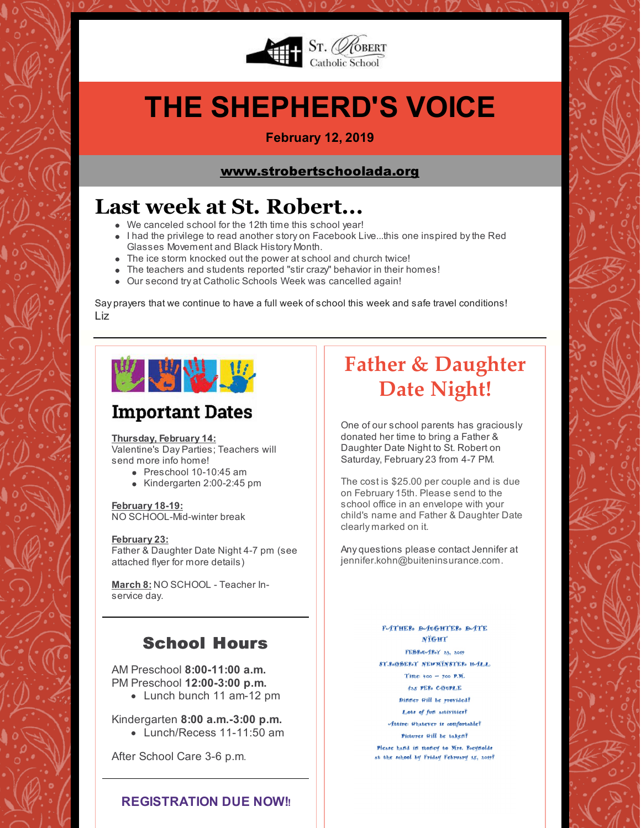

# **THE SHEPHERD'S VOICE**

### **February 12, 2019**

### [www.strobertschoolada.org](http://strobertschoolada.org)

# **Last week at St. Robert...**

- We canceled school for the 12th time this school year!
- I had the privilege to read another story on Facebook Live...this one inspired by the Red Glasses Movement and Black History Month.
- The ice storm knocked out the power at school and church twice!
- The teachers and students reported "stir crazy" behavior in their homes!
- Our second try at Catholic Schools Week was cancelled again!

Say prayers that we continue to have a full week of school this week and safe travel conditions! Liz



# **Important Dates**

#### **Thursday, February 14:**

Valentine's Day Parties; Teachers will send more info home!

- Preschool 10-10:45 am
- Kindergarten 2:00-2:45 pm

#### **February 18-19:**

NO SCHOOL-Mid-winter break

#### **February 23:**

Father & Daughter Date Night 4-7 pm (see attached flyer for more details)

**March 8:** NO SCHOOL - Teacher Inservice day.

## School Hours

AM Preschool **8:00-11:00 a.m.** PM Preschool **12:00-3:00 p.m.**

• Lunch bunch 11 am-12 pm

Kindergarten **8:00 a.m.-3:00 p.m.**

 $\bullet$  Lunch/Recess 11-11:50 am

After School Care 3-6 p.m.

### **REGISTRATION DUE NOW!!**

# **Father & Daughter Date Night!**

One of our school parents has graciously donated her time to bring a Father & Daughter Date Night to St. Robert on Saturday, February 23 from 4-7 PM.

The cost is \$25.00 per couple and is due on February 15th. Please send to the school office in an envelope with your child's name and Father & Daughter Date clearly marked on it.

Any questions please contact Jennifer at jennifer.kohn@buiteninsurance.com.

> **F-ATHER** D-AUGHTER D-ATE NTGHT FEBROUGROY 23, 2019 **ST.R.O.BER.T NEWMINSTER. H-ILL.** Time:  $1:00 - 7:00$  P.M. 825 PER COUPLE Differ Will be provided? Lots of fun activities? Attire: Whatever is comfortable?

Pictures Will be taken?

Please hand in thortey to Mrs. Reginolds at the school by Friday February 15, 2019?